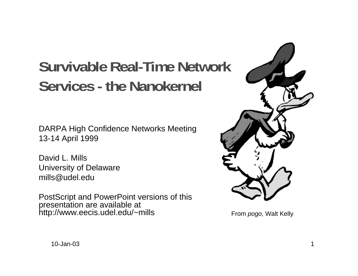# **Survivable Real-Time Network Services - the Nanokernel**

DARPA High Confidence Networks Meeting 13-14 April 1999

David L. MillsUniversity of Delaware mills@udel.edu

PostScript and PowerPoint versions of this presentation are available at http://www.eecis.udel.edu/~mills



From pogo, Walt Kelly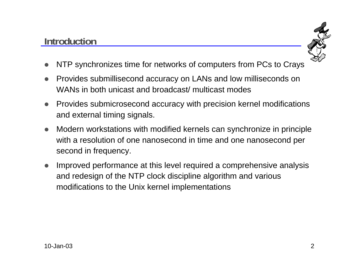#### **Introduction**



- $\bullet$ NTP synchronizes time for networks of computers from PCs to Crays
- $\bullet$  Provides submillisecond accuracy on LANs and low milliseconds on WANs in both unicast and broadcast/ multicast modes
- Provides submicrosecond accuracy with precision kernel modifications and external timing signals.
- $\bullet$  Modern workstations with modified kernels can synchronize in principle with a resolution of one nanosecond in time and one nanosecond per second in frequency.
- $\bullet$  Improved performance at this level required a comprehensive analysis and redesign of the NTP clock discipline algorithm and various modifications to the Unix kernel implementations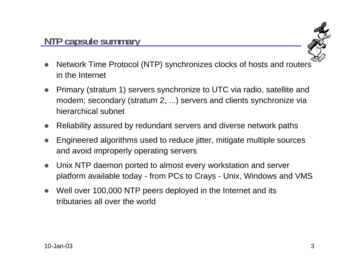

- $\bullet$  Network Time Protocol (NTP) synchronizes clocks of hosts and routers in the Internet
- $\bullet$  Primary (stratum 1) servers synchronize to UTC via radio, satellite and modem; secondary (stratum 2, ...) servers and clients synchronize via hierarchical subnet
- $\bullet$ Reliability assured by redundant servers and diverse network paths
- $\bullet$  Engineered algorithms used to reduce jitter, mitigate multiple sources and avoid improperly operating servers
- $\bullet$  Unix NTP daemon ported to almost every workstation and server platform available today - from PCs to Crays - Unix, Windows and VMS
- $\bullet$  Well over 100,000 NTP peers deployed in the Internet and its tributaries all over the world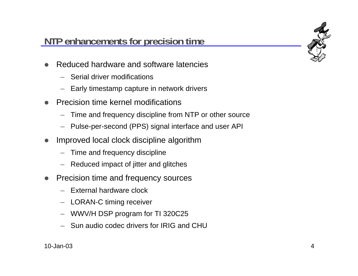### **NTP enhancements for precision time**

- $\bullet$  Reduced hardware and software latencies
	- Serial driver modifications
	- Early timestamp capture in network drivers
- $\bullet$  Precision time kernel modifications
	- –Time and frequency discipline from NTP or other source
	- –Pulse-per-second (PPS) signal interface and user API
- $\bullet$  Improved local clock discipline algorithm
	- Time and frequency discipline
	- Reduced impact of jitter and glitches
- $\bullet$  Precision time and frequency sources
	- External hardware clock
	- LORAN-C timing receiver
	- WWV/H DSP program for TI 320C25
	- Sun audio codec drivers for IRIG and CHU

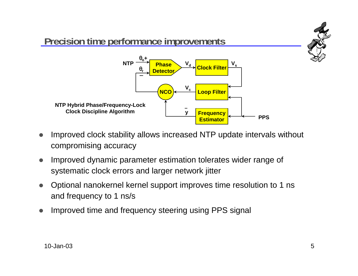

- $\bullet$  Improved clock stability allows increased NTP update intervals without compromising accuracy
- $\bullet$  Improved dynamic parameter estimation tolerates wider range of systematic clock errors and larger network jitter
- $\bullet$  Optional nanokernel kernel support improves time resolution to 1 ns and frequency to 1 ns/s
- $\bullet$ Improved time and frequency steering using PPS signal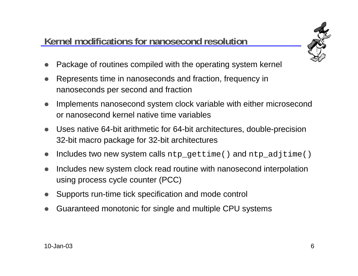## **Kernel modifications for nanosecond resolution**



- $\bullet$ Package of routines compiled with the operating system kernel
- $\bullet$  Represents time in nanoseconds and fraction, frequency in nanoseconds per second and fraction
- $\bullet$  Implements nanosecond system clock variable with either microsecond or nanosecond kernel native time variables
- $\bullet$  Uses native 64-bit arithmetic for 64-bit architectures, double-precision 32-bit macro package for 32-bit architectures
- $\bullet$ Includes two new system calls ntp\_gettime() and ntp\_adjtime()
- $\bullet$  Includes new system clock read routine with nanosecond interpolation using process cycle counter (PCC)
- $\bullet$ Supports run-time tick specification and mode control
- $\bullet$ Guaranteed monotonic for single and multiple CPU systems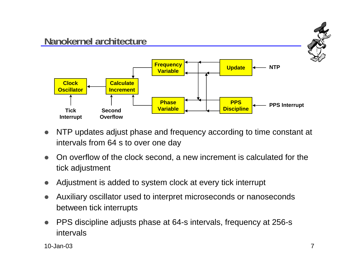

- $\bullet$  NTP updates adjust phase and frequency according to time constant at intervals from 64 s to over one day
- $\bullet$  On overflow of the clock second, a new increment is calculated for the tick adjustment
- $\bullet$ Adjustment is added to system clock at every tick interrupt
- $\bullet$  Auxiliary oscillator used to interpret microseconds or nanoseconds between tick interrupts
- $\bullet$  PPS discipline adjusts phase at 64-s intervals, frequency at 256-s intervals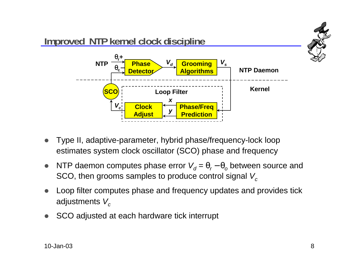

- $\bullet$  Type II, adaptive-parameter, hybrid phase/frequency-lock loop estimates system clock oscillator (SCO) phase and frequency
- $\bullet$ • NTP daemon computes phase error  $V_d = θ_r - θ_o$  between source and SCO, then grooms samples to produce control signal  $V_c$
- $\bullet$  Loop filter computes phase and frequency updates and provides tick adjustments  $V_c$
- $\bullet$ SCO adjusted at each hardware tick interrupt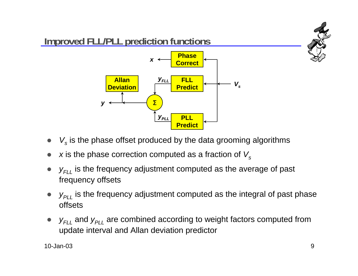

- $\bullet$  $\bullet\quad$   $V_{s}$  is the phase offset produced by the data grooming algorithms
- $\bullet$ x is the phase correction computed as a fraction of  $V_s$
- $\bullet$  $\bullet\quad$   $y_{\mathsf{{\scriptstyle F}\!L}\mathsf{L}}$  is the frequency adjustment computed as the average of past frequency offsets
- $\bullet$  $\bullet\quad$   $y_{\rho_{LL}}$  is the frequency adjustment computed as the integral of past phase offsets
- $\bullet$ •  $y_{FLL}$  and  $y_{PLL}$  are combined according to weight factors computed from update interval and Allan deviation predictor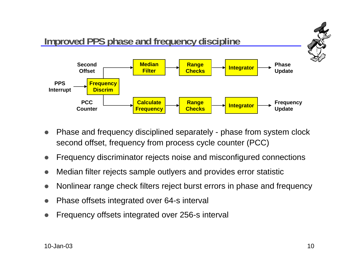

- $\bullet$  Phase and frequency disciplined separately - phase from system clock second offset, frequency from process cycle counter (PCC)
- $\bullet$ Frequency discriminator rejects noise and misconfigured connections
- $\bullet$ Median filter rejects sample outlyers and provides error statistic
- $\bullet$ Nonlinear range check filters reject burst errors in phase and frequency
- $\bullet$ Phase offsets integrated over 64-s interval
- $\bullet$ Frequency offsets integrated over 256-s interval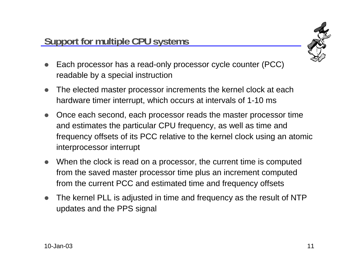

- $\bullet$  Each processor has a read-only processor cycle counter (PCC) readable by a special instruction
- $\bullet$  The elected master processor increments the kernel clock at each hardware timer interrupt, which occurs at intervals of 1-10 ms
- $\bullet$  Once each second, each processor reads the master processor time and estimates the particular CPU frequency, as well as time and frequency offsets of its PCC relative to the kernel clock using an atomic interprocessor interrupt
- When the clock is read on a processor, the current time is computed from the saved master processor time plus an increment computed from the current PCC and estimated time and frequency offsets
- $\bullet$  The kernel PLL is adjusted in time and frequency as the result of NTP updates and the PPS signal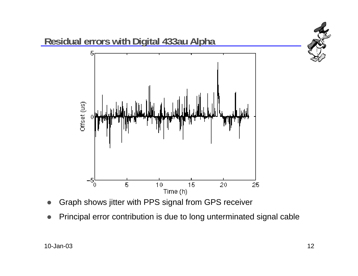

- $\bullet$ Graph shows jitter with PPS signal from GPS receiver
- $\bullet$ Principal error contribution is due to long unterminated signal cable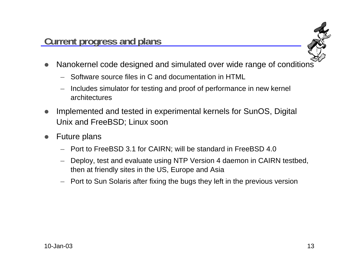

- $\bullet$  Nanokernel code designed and simulated over wide range of conditions
	- Software source files in C and documentation in HTML
	- – Includes simulator for testing and proof of performance in new kernel architectures
- $\bullet$  Implemented and tested in experimental kernels for SunOS, Digital Unix and FreeBSD; Linux soon
- $\bullet$  Future plans
	- Port to FreeBSD 3.1 for CAIRN; will be standard in FreeBSD 4.0
	- Deploy, test and evaluate using NTP Version 4 daemon in CAIRN testbed, then at friendly sites in the US, Europe and Asia
	- –Port to Sun Solaris after fixing the bugs they left in the previous version